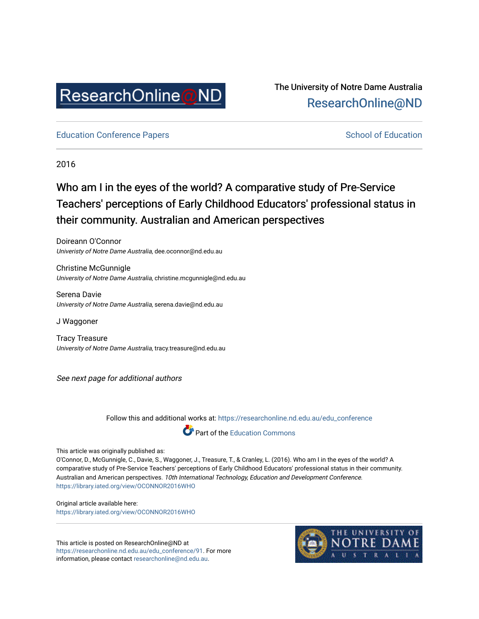

The University of Notre Dame Australia [ResearchOnline@ND](https://researchonline.nd.edu.au/) 

[Education Conference Papers](https://researchonline.nd.edu.au/edu_conference) **School of Education** School of Education

2016

# Who am I in the eyes of the world? A comparative study of Pre-Service Teachers' perceptions of Early Childhood Educators' professional status in their community. Australian and American perspectives

Doireann O'Connor Univeristy of Notre Dame Australia, dee.oconnor@nd.edu.au

Christine McGunnigle University of Notre Dame Australia, christine.mcgunnigle@nd.edu.au

Serena Davie University of Notre Dame Australia, serena.davie@nd.edu.au

J Waggoner

Tracy Treasure University of Notre Dame Australia, tracy.treasure@nd.edu.au

See next page for additional authors

Follow this and additional works at: [https://researchonline.nd.edu.au/edu\\_conference](https://researchonline.nd.edu.au/edu_conference?utm_source=researchonline.nd.edu.au%2Fedu_conference%2F91&utm_medium=PDF&utm_campaign=PDFCoverPages)



This article was originally published as:

O'Connor, D., McGunnigle, C., Davie, S., Waggoner, J., Treasure, T., & Cranley, L. (2016). Who am I in the eyes of the world? A comparative study of Pre-Service Teachers' perceptions of Early Childhood Educators' professional status in their community. Australian and American perspectives. 10th International Technology, Education and Development Conference. <https://library.iated.org/view/OCONNOR2016WHO>

Original article available here: <https://library.iated.org/view/OCONNOR2016WHO>

This article is posted on ResearchOnline@ND at [https://researchonline.nd.edu.au/edu\\_conference/91.](https://researchonline.nd.edu.au/edu_conference/91) For more information, please contact [researchonline@nd.edu.au.](mailto:researchonline@nd.edu.au)

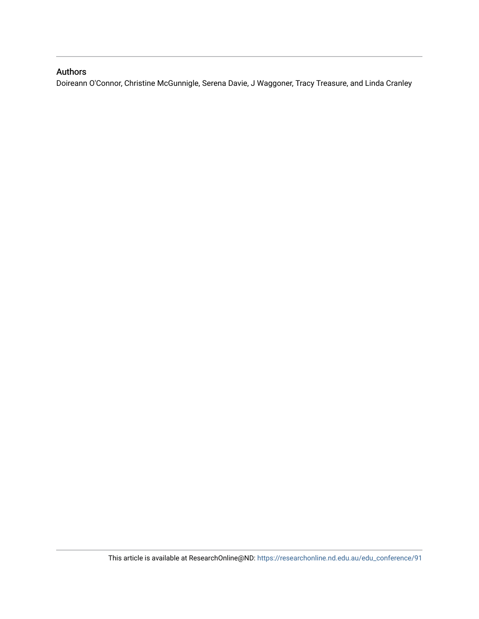## Authors

Doireann O'Connor, Christine McGunnigle, Serena Davie, J Waggoner, Tracy Treasure, and Linda Cranley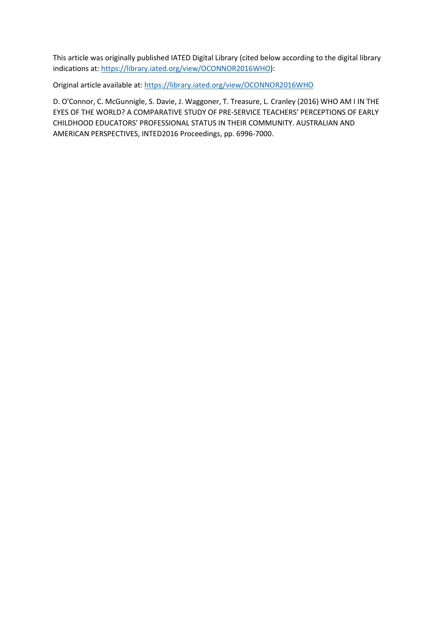This article was originally published IATED Digital Library (cited below according to the digital library indications at: [https://library.iated.org/view/OCONNOR2016WHO\)](https://library.iated.org/view/OCONNOR2016WHO):

Original article available at:<https://library.iated.org/view/OCONNOR2016WHO>

D. O'Connor, C. McGunnigle, S. Davie, J. Waggoner, T. Treasure, L. Cranley (2016) WHO AM I IN THE EYES OF THE WORLD? A COMPARATIVE STUDY OF PRE-SERVICE TEACHERS' PERCEPTIONS OF EARLY CHILDHOOD EDUCATORS' PROFESSIONAL STATUS IN THEIR COMMUNITY. AUSTRALIAN AND AMERICAN PERSPECTIVES, INTED2016 Proceedings, pp. 6996-7000.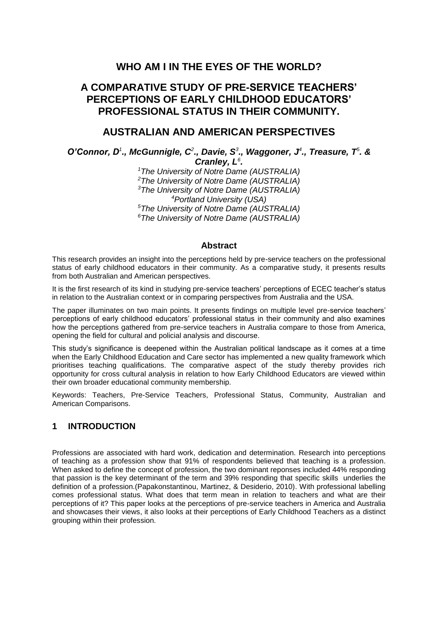# **WHO AM I IN THE EYES OF THE WORLD?**

# **A COMPARATIVE STUDY OF PRE-SERVICE TEACHERS' PERCEPTIONS OF EARLY CHILDHOOD EDUCATORS' PROFESSIONAL STATUS IN THEIR COMMUNITY.**

## **AUSTRALIAN AND AMERICAN PERSPECTIVES**

*O'Connor, D<sup>1</sup> ., McGunnigle, C<sup>2</sup> ., Davie, S<sup>3</sup> ., Waggoner, J<sup>4</sup> ., Treasure, T<sup>5</sup> . &* 

*Cranley, L<sup>6</sup> . The University of Notre Dame (AUSTRALIA) The University of Notre Dame (AUSTRALIA) The University of Notre Dame (AUSTRALIA) Portland University (USA) The University of Notre Dame (AUSTRALIA) The University of Notre Dame (AUSTRALIA)* 

#### **Abstract**

This research provides an insight into the perceptions held by pre-service teachers on the professional status of early childhood educators in their community. As a comparative study, it presents results from both Australian and American perspectives.

It is the first research of its kind in studying pre-service teachers' perceptions of ECEC teacher's status in relation to the Australian context or in comparing perspectives from Australia and the USA.

The paper illuminates on two main points. It presents findings on multiple level pre-service teachers' perceptions of early childhood educators' professional status in their community and also examines how the perceptions gathered from pre-service teachers in Australia compare to those from America, opening the field for cultural and policial analysis and discourse.

This study's significance is deepened within the Australian political landscape as it comes at a time when the Early Childhood Education and Care sector has implemented a new quality framework which prioritises teaching qualifications. The comparative aspect of the study thereby provides rich opportunity for cross cultural analysis in relation to how Early Childhood Educators are viewed within their own broader educational community membership.

Keywords: Teachers, Pre-Service Teachers, Professional Status, Community, Australian and American Comparisons.

#### **1 INTRODUCTION**

Professions are associated with hard work, dedication and determination. Research into perceptions of teaching as a profession show that 91% of respondents believed that teaching is a profession. When asked to define the concept of profession, the two dominant reponses included 44% responding that passion is the key determinant of the term and 39% responding that specific skills underlies the definition of a profession.(Papakonstantinou, Martinez, & Desiderio, 2010). With professional labelling comes professional status. What does that term mean in relation to teachers and what are their perceptions of it? This paper looks at the perceptions of pre-service teachers in America and Australia and showcases their views, it also looks at their perceptions of Early Childhood Teachers as a distinct grouping within their profession.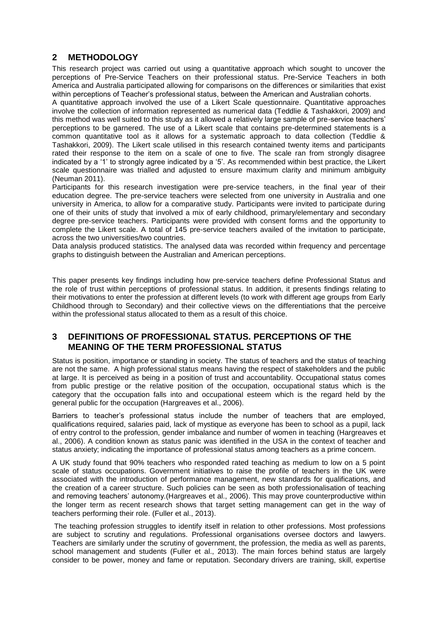## **2 METHODOLOGY**

This research project was carried out using a quantitative approach which sought to uncover the perceptions of Pre-Service Teachers on their professional status. Pre-Service Teachers in both America and Australia participated allowing for comparisons on the differences or similarities that exist within perceptions of Teacher's professional status, between the American and Australian cohorts.

A quantitative approach involved the use of a Likert Scale questionnaire. Quantitative approaches involve the collection of information represented as numerical data (Teddlie & Tashakkori, 2009) and this method was well suited to this study as it allowed a relatively large sample of pre-service teachers' perceptions to be garnered. The use of a Likert scale that contains pre-determined statements is a common quantitative tool as it allows for a systematic approach to data collection (Teddlie & Tashakkori, 2009). The Likert scale utilised in this research contained twenty items and participants rated their response to the item on a scale of one to five. The scale ran from strongly disagree indicated by a '1' to strongly agree indicated by a '5'. As recommended within best practice, the Likert scale questionnaire was trialled and adjusted to ensure maximum clarity and minimum ambiguity (Neuman 2011).

Participants for this research investigation were pre-service teachers, in the final year of their education degree. The pre-service teachers were selected from one university in Australia and one university in America, to allow for a comparative study. Participants were invited to participate during one of their units of study that involved a mix of early childhood, primary/elementary and secondary degree pre-service teachers. Participants were provided with consent forms and the opportunity to complete the Likert scale. A total of 145 pre-service teachers availed of the invitation to participate, across the two universities/two countries.

Data analysis produced statistics. The analysed data was recorded within frequency and percentage graphs to distinguish between the Australian and American perceptions.

This paper presents key findings including how pre-service teachers define Professional Status and the role of trust within perceptions of professional status. In addition, it presents findings relating to their motivations to enter the profession at different levels (to work with different age groups from Early Childhood through to Secondary) and their collective views on the differentiations that the perceive within the professional status allocated to them as a result of this choice.

#### **3 DEFINITIONS OF PROFESSIONAL STATUS. PERCEPTIONS OF THE MEANING OF THE TERM PROFESSIONAL STATUS**

Status is position, importance or standing in society. The status of teachers and the status of teaching are not the same. A high professional status means having the respect of stakeholders and the public at large. It is perceived as being in a position of trust and accountability. Occupational status comes from public prestige or the relative position of the occupation, occupational status which is the category that the occupation falls into and occupational esteem which is the regard held by the general public for the occupation (Hargreaves et al., 2006).

Barriers to teacher's professional status include the number of teachers that are employed, qualifications required, salaries paid, lack of mystique as everyone has been to school as a pupil, lack of entry control to the profession, gender imbalance and number of women in teaching (Hargreaves et al., 2006). A condition known as status panic was identified in the USA in the context of teacher and status anxiety; indicating the importance of professional status among teachers as a prime concern.

A UK study found that 90% teachers who responded rated teaching as medium to low on a 5 point scale of status occupations. Government initiatives to raise the profile of teachers in the UK were associated with the introduction of performance management, new standards for qualifications, and the creation of a career structure. Such policies can be seen as both professionalisation of teaching and removing teachers' autonomy.(Hargreaves et al., 2006). This may prove counterproductive within the longer term as recent research shows that target setting management can get in the way of teachers performing their role. (Fuller et al., 2013).

The teaching profession struggles to identify itself in relation to other professions. Most professions are subject to scrutiny and regulations. Professional organisations oversee doctors and lawyers. Teachers are similarly under the scrutiny of government, the profession, the media as well as parents, school management and students (Fuller et al., 2013). The main forces behind status are largely consider to be power, money and fame or reputation. Secondary drivers are training, skill, expertise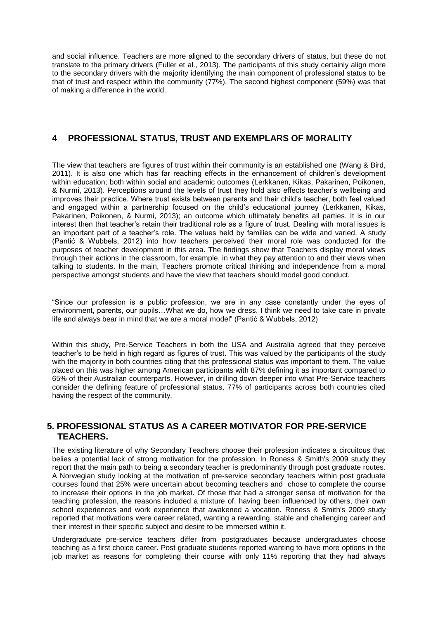and social influence. Teachers are more aligned to the secondary drivers of status, but these do not translate to the primary drivers (Fuller et al., 2013). The participants of this study certainly align more to the secondary drivers with the majority identifying the main component of professional status to be that of trust and respect within the community (77%). The second highest component (59%) was that of making a difference in the world.

#### **4 PROFESSIONAL STATUS, TRUST AND EXEMPLARS OF MORALITY**

The view that teachers are figures of trust within their community is an established one (Wang & Bird, 2011). It is also one which has far reaching effects in the enhancement of children's development within education; both within social and academic outcomes (Lerkkanen, Kikas, Pakarinen, Poikonen, & Nurmi, 2013). Perceptions around the levels of trust they hold also effects teacher's wellbeing and improves their practice. Where trust exists between parents and their child's teacher, both feel valued and engaged within a partnership focused on the child's educational journey (Lerkkanen, Kikas, Pakarinen, Poikonen, & Nurmi, 2013); an outcome which ultimately benefits all parties. It is in our interest then that teacher's retain their traditional role as a figure of trust. Dealing with moral issues is an important part of a teacher's role. The values held by families can be wide and varied. A study (Pantić & Wubbels, 2012) into how teachers perceived their moral role was conducted for the purposes of teacher development in this area. The findings show that Teachers display moral views through their actions in the classroom, for example, in what they pay attention to and their views when talking to students. In the main, Teachers promote critical thinking and independence from a moral perspective amongst students and have the view that teachers should model good conduct.

"Since our profession is a public profession, we are in any case constantly under the eyes of environment, parents, our pupils…What we do, how we dress. I think we need to take care in private life and always bear in mind that we are a moral model" (Pantić & Wubbels, 2012)

Within this study, Pre-Service Teachers in both the USA and Australia agreed that they perceive teacher's to be held in high regard as figures of trust. This was valued by the participants of the study with the majority in both countries citing that this professional status was important to them. The value placed on this was higher among American participants with 87% defining it as important compared to 65% of their Australian counterparts. However, in drilling down deeper into what Pre-Service teachers consider the defining feature of professional status, 77% of participants across both countries cited having the respect of the community.

#### **5. PROFESSIONAL STATUS AS A CAREER MOTIVATOR FOR PRE-SERVICE TEACHERS.**

The existing literature of why Secondary Teachers choose their profession indicates a circuitous that belies a potential lack of strong motivation for the profession. In Roness & Smith's 2009 study they report that the main path to being a secondary teacher is predominantly through post graduate routes. A Norwegian study looking at the motivation of pre-service secondary teachers within post graduate courses found that 25% were uncertain about becoming teachers and chose to complete the course to increase their options in the job market. Of those that had a stronger sense of motivation for the teaching profession, the reasons included a mixture of: having been influenced by others, their own school experiences and work experience that awakened a vocation. Roness & Smith's 2009 study reported that motivations were career related, wanting a rewarding, stable and challenging career and their interest in their specific subject and desire to be immersed within it.

Undergraduate pre-service teachers differ from postgraduates because undergraduates choose teaching as a first choice career. Post graduate students reported wanting to have more options in the job market as reasons for completing their course with only 11% reporting that they had always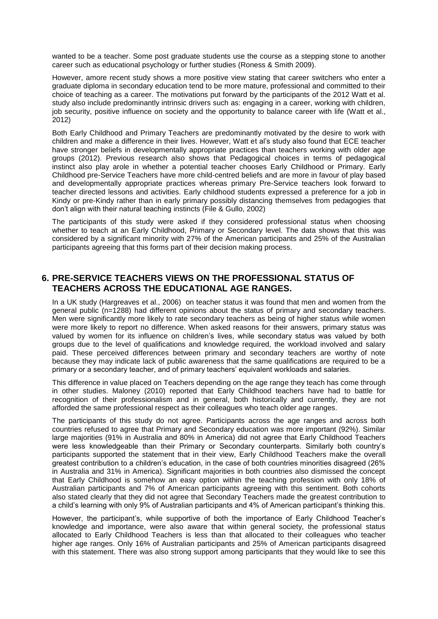wanted to be a teacher. Some post graduate students use the course as a stepping stone to another career such as educational psychology or further studies (Roness & Smith 2009).

However, amore recent study shows a more positive view stating that career switchers who enter a graduate diploma in secondary education tend to be more mature, professional and committed to their choice of teaching as a career. The motivations put forward by the participants of the 2012 Watt et al. study also include predominantly intrinsic drivers such as: engaging in a career, working with children, job security, positive influence on society and the opportunity to balance career with life (Watt et al., 2012)

Both Early Childhood and Primary Teachers are predominantly motivated by the desire to work with children and make a difference in their lives. However, Watt et al's study also found that ECE teacher have stronger beliefs in developmentally appropriate practices than teachers working with older age groups (2012). Previous research also shows that Pedagogical choices in terms of pedagogical instinct also play arole in whether a potential teacher chooses Early Childhood or Primary. Early Childhood pre-Service Teachers have more child-centred beliefs and are more in favour of play based and developmentally appropriate practices whereas primary Pre-Service teachers look forward to teacher directed lessons and activities. Early childhood students expressed a preference for a job in Kindy or pre-Kindy rather than in early primary possibly distancing themselves from pedagogies that don't align with their natural teaching instincts (File & Gullo, 2002)

The participants of this study were asked if they considered professional status when choosing whether to teach at an Early Childhood, Primary or Secondary level. The data shows that this was considered by a significant minority with 27% of the American participants and 25% of the Australian participants agreeing that this forms part of their decision making process.

#### **6. PRE-SERVICE TEACHERS VIEWS ON THE PROFESSIONAL STATUS OF TEACHERS ACROSS THE EDUCATIONAL AGE RANGES.**

In a UK study (Hargreaves et al., 2006) on teacher status it was found that men and women from the general public (n=1288) had different opinions about the status of primary and secondary teachers. Men were significantly more likely to rate secondary teachers as being of higher status while women were more likely to report no difference. When asked reasons for their answers, primary status was valued by women for its influence on children's lives, while secondary status was valued by both groups due to the level of qualifications and knowledge required, the workload involved and salary paid. These perceived differences between primary and secondary teachers are worthy of note because they may indicate lack of public awareness that the same qualifications are required to be a primary or a secondary teacher, and of primary teachers' equivalent workloads and salaries.

This difference in value placed on Teachers depending on the age range they teach has come through in other studies. Maloney (2010) reported that Early Childhood teachers have had to battle for recognition of their professionalism and in general, both historically and currently, they are not afforded the same professional respect as their colleagues who teach older age ranges.

The participants of this study do not agree. Participants across the age ranges and across both countries refused to agree that Primary and Secondary education was more important (92%). Similar large majorities (91% in Australia and 80% in America) did not agree that Early Childhood Teachers were less knowledgeable than their Primary or Secondary counterparts. Similarly both country's participants supported the statement that in their view, Early Childhood Teachers make the overall greatest contribution to a children's education, in the case of both countries minorities disagreed (26% in Australia and 31% in America). Significant majorities in both countries also dismissed the concept that Early Childhood is somehow an easy option within the teaching profession with only 18% of Australian participants and 7% of American participants agreeing with this sentiment. Both cohorts also stated clearly that they did not agree that Secondary Teachers made the greatest contribution to a child's learning with only 9% of Australian participants and 4% of American participant's thinking this.

However, the participant's, while supportive of both the importance of Early Childhood Teacher's knowledge and importance, were also aware that within general society, the professional status allocated to Early Childhood Teachers is less than that allocated to their colleagues who teacher higher age ranges. Only 16% of Australian participants and 25% of American participants disagreed with this statement. There was also strong support among participants that they would like to see this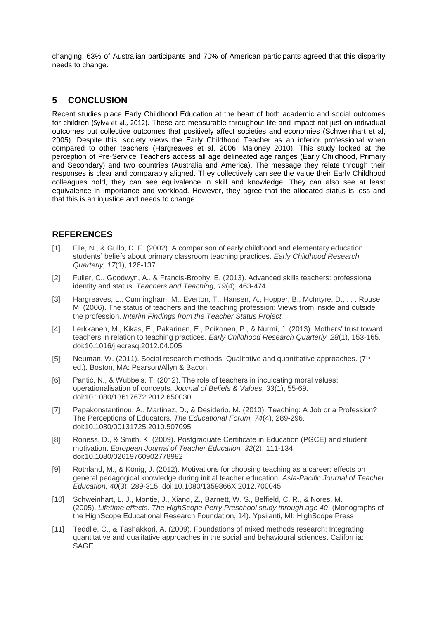changing. 63% of Australian participants and 70% of American participants agreed that this disparity needs to change.

#### **5 CONCLUSION**

Recent studies place Early Childhood Education at the heart of both academic and social outcomes for children (Sylva et al., 2012). These are measurable throughout life and impact not just on individual outcomes but collective outcomes that positively affect societies and economies (Schweinhart et al, 2005). Despite this, society views the Early Childhood Teacher as an inferior professional when compared to other teachers (Hargreaves et al, 2006; Maloney 2010). This study looked at the perception of Pre-Service Teachers access all age delineated age ranges (Early Childhood, Primary and Secondary) and two countries (Australia and America). The message they relate through their responses is clear and comparably aligned. They collectively can see the value their Early Childhood colleagues hold, they can see equivalence in skill and knowledge. They can also see at least equivalence in importance and workload. However, they agree that the allocated status is less and that this is an injustice and needs to change.

## **REFERENCES**

- [1] File, N., & Gullo, D. F. (2002). A comparison of early childhood and elementary education students' beliefs about primary classroom teaching practices. *Early Childhood Research Quarterly, 17*(1), 126-137.
- [2] Fuller, C., Goodwyn, A., & Francis-Brophy, E. (2013). Advanced skills teachers: professional identity and status. *Teachers and Teaching, 19*(4), 463-474.
- [3] Hargreaves, L., Cunningham, M., Everton, T., Hansen, A., Hopper, B., McIntyre, D., . . . Rouse, M. (2006). The status of teachers and the teaching profession: Views from inside and outside the profession. *Interim Findings from the Teacher Status Project,*
- [4] Lerkkanen, M., Kikas, E., Pakarinen, E., Poikonen, P., & Nurmi, J. (2013). Mothers' trust toward teachers in relation to teaching practices. *Early Childhood Research Quarterly, 28*(1), 153-165. doi:10.1016/j.ecresq.2012.04.005
- [5] Neuman, W. (2011). Social research methods: Qualitative and quantitative approaches.  $(7<sup>th</sup>)$ ed.). Boston, MA: Pearson/Allyn & Bacon.
- [6] Pantić, N., & Wubbels, T. (2012). The role of teachers in inculcating moral values: operationalisation of concepts. *Journal of Beliefs & Values, 33*(1), 55-69. doi:10.1080/13617672.2012.650030
- [7] Papakonstantinou, A., Martinez, D., & Desiderio, M. (2010). Teaching: A Job or a Profession? The Perceptions of Educators. *The Educational Forum, 74*(4), 289-296. doi:10.1080/00131725.2010.507095
- [8] Roness, D., & Smith, K. (2009). Postgraduate Certificate in Education (PGCE) and student motivation. *European Journal of Teacher Education, 32*(2), 111-134. doi:10.1080/02619760902778982
- [9] Rothland, M., & König, J. (2012). Motivations for choosing teaching as a career: effects on general pedagogical knowledge during initial teacher education. *Asia-Pacific Journal of Teacher Education, 40*(3), 289-315. doi:10.1080/1359866X.2012.700045
- [10] Schweinhart, L. J., Montie, J., Xiang, Z., Barnett, W. S., Belfield, C. R., & Nores, M. (2005). *Lifetime effects: The HighScope Perry Preschool study through age 40*. (Monographs of the HighScope Educational Research Foundation, 14). Ypsilanti, MI: HighScope Press
- [11] Teddlie, C., & Tashakkori, A. (2009). Foundations of mixed methods research: Integrating quantitative and qualitative approaches in the social and behavioural sciences. California: **SAGE**